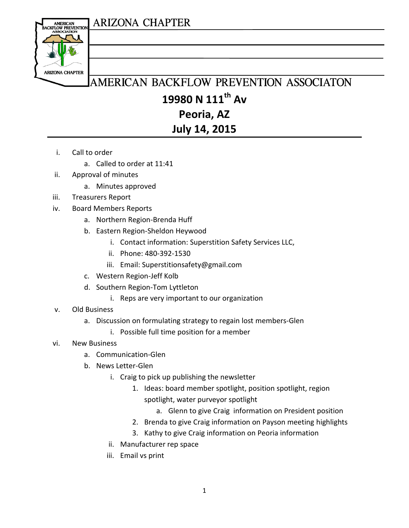## **ARIZONA CHAPTER**



# AMERICAN BACKFLOW PREVENTION ASSOCIATON **19980 N 111th Av Peoria, AZ**

### **July 14, 2015**

- i. Call to order
	- a. Called to order at 11:41
- ii. Approval of minutes
	- a. Minutes approved
- iii. Treasurers Report
- iv. Board Members Reports
	- a. Northern Region-Brenda Huff
	- b. Eastern Region-Sheldon Heywood
		- i. Contact information: Superstition Safety Services LLC,
		- ii. Phone: 480-392-1530
		- iii. Email: Superstitionsafety@gmail.com
	- c. Western Region-Jeff Kolb
	- d. Southern Region-Tom Lyttleton
		- i. Reps are very important to our organization
- v. Old Business
	- a. Discussion on formulating strategy to regain lost members-Glen
		- i. Possible full time position for a member
- vi. New Business
	- a. Communication-Glen
	- b. News Letter-Glen
		- i. Craig to pick up publishing the newsletter
			- 1. Ideas: board member spotlight, position spotlight, region spotlight, water purveyor spotlight
				- a. Glenn to give Craig information on President position
			- 2. Brenda to give Craig information on Payson meeting highlights
			- 3. Kathy to give Craig information on Peoria information
		- ii. Manufacturer rep space
		- iii. Email vs print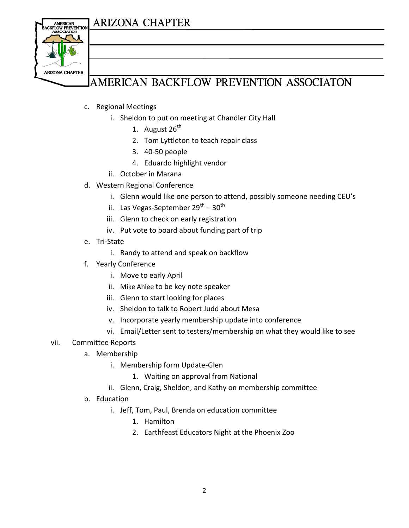## **ARIZONA CHAPTER**



## AMERICAN BACKFLOW PREVENTION ASSOCIATON

- c. Regional Meetings
	- i. Sheldon to put on meeting at Chandler City Hall
		- 1. August  $26^{th}$
		- 2. Tom Lyttleton to teach repair class
		- 3. 40-50 people
		- 4. Eduardo highlight vendor
	- ii. October in Marana
- d. Western Regional Conference
	- i. Glenn would like one person to attend, possibly someone needing CEU's
	- ii. Las Vegas-September 29<sup>th</sup> 30<sup>th</sup>
	- iii. Glenn to check on early registration
	- iv. Put vote to board about funding part of trip
- e. Tri-State
	- i. Randy to attend and speak on backflow
- f. Yearly Conference
	- i. Move to early April
	- ii. Mike Ahlee to be key note speaker
	- iii. Glenn to start looking for places
	- iv. Sheldon to talk to Robert Judd about Mesa
	- v. Incorporate yearly membership update into conference
	- vi. Email/Letter sent to testers/membership on what they would like to see

#### vii. Committee Reports

- a. Membership
	- i. Membership form Update-Glen
		- 1. Waiting on approval from National
	- ii. Glenn, Craig, Sheldon, and Kathy on membership committee
- b. Education
	- i. Jeff, Tom, Paul, Brenda on education committee
		- 1. Hamilton
		- 2. Earthfeast Educators Night at the Phoenix Zoo